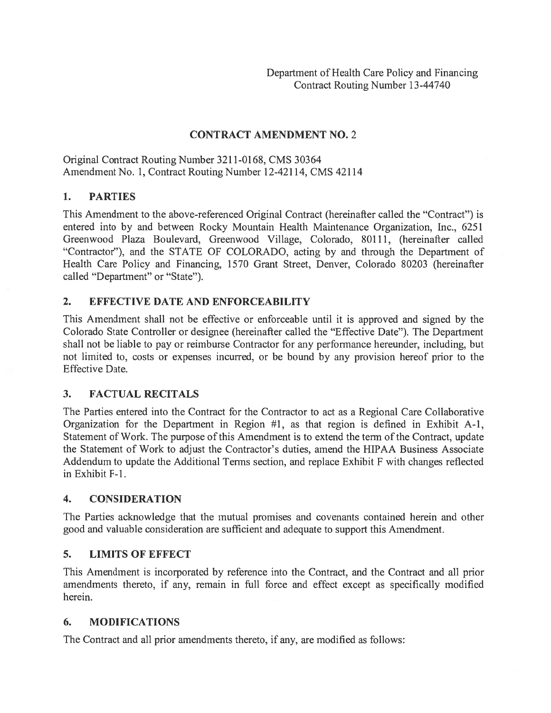### CONTRACT AMENDMENT NO.2

Original Contract Routing Number 3211-0168, CMS 30364 Amendment No. 1, Contract Routing Number 12-42114, CMS 42114

### 1. PARTIES

This Amendment to the above-referenced Original Contract (hereinafter called the "Contract") is entered into by and between Rocky Mountain Health Maintenance Organization, Inc., 6251 Greenwood Plaza Boulevard, Greenwood Village, Colorado, 80111, (hereinafter called "Contractor"), and the STATE OF COLORADO, acting by and through the Department of Health Care Policy and Financing, 1570 Grant Street, Denver, Colorado 80203 (hereinafter called "Department" or "State").

### 2. EFFECTIVE DATE AND ENFORCEABILITY

This Amendment shall not be effective or enforceable until it is approved and signed by the Colorado State Controller or designee (hereinafter called the "Effective Date"). The Department shall not be liable to pay or reimburse Contractor for any performance hereunder, including, but not limited to, costs or expenses incurred, or be bound by any provision hereof prior to the Effective Date.

### 3. FACTUAL RECITALS

The Parties entered into the Contract for the Contractor to act as <sup>a</sup> Regional Care Collaborative Organization for the Department in Region #1, as that region is defined in Exhibit A-i, Statement of Work. The purpose of this Amendment is to extend the term of the Contract, update the Statement of Work to adjust the Contractor's duties, amend the HIPAA Business Associate Addendum to update the Additional Terms section, and replace Exhibit F with changes reflected in Exhibit F-i.

### 4. CONSIDERATION

The Parties acknowledge that the mutual promises and covenants contained herein and other good and valuable consideration are sufficient and adequate to suppor<sup>t</sup> this Amendment.

### 5. LIMITS OF EFFECT

This Amendment is incorporated by reference into the Contract, and the Contract and all prior amendments thereto, if any, remain in full force and effect excep<sup>t</sup> as specifically modified herein.

### 6. MODIFICATIONS

The Contract and all prior amendments thereto, if any, are modified as follows: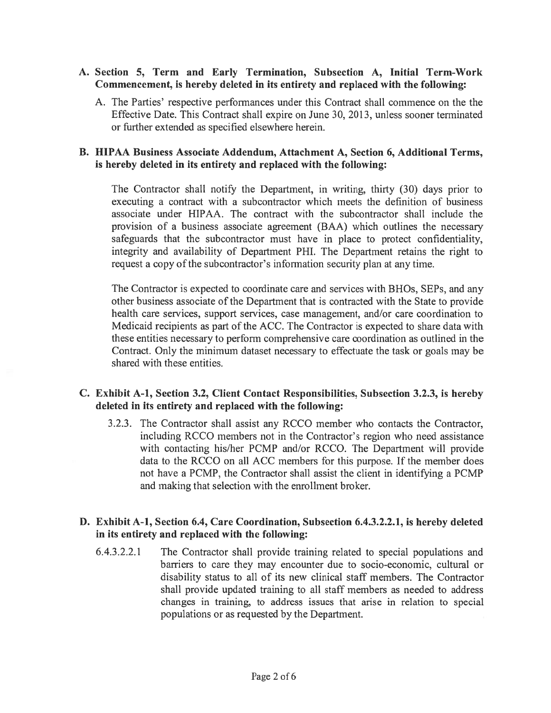### A. Section 5, Term and Early Termination, Subsection A, Initial Term-Work Commencement, is hereby deleted in its entirety and replaced with the following:

A. The Parties' respective performances under this Contract shall commence on the the Effective Date. This Contract shall expire on June 30, 2013, unless sooner terminated or further extended as specified elsewhere herein.

### B. HIPAA Business Associate Addendum, Attachment A, Section 6, Additional Terms, is hereby deleted in its entirety and replaced with the following:

The Contractor shall notify the Department, in writing, thirty (30) days prior to executing <sup>a</sup> contract with <sup>a</sup> subcontractor which meets the definition of business associate under HIPAA. The contract with the subcontractor shall include the provision of <sup>a</sup> business associate agreemen<sup>t</sup> (BAA) which outlines the necessary safeguards that the subcontractor must have in place to protect confidentiality, integrity and availability of Department PHI. The Department retains the right to request a copy of the subcontractor's information security plan at any time.

The Contractor is expected to coordinate care and services with BHOs, SEPs, and any other business associate of the Department that is contracted with the State to provide health care services, suppor<sup>t</sup> services, case management, and/or care coordination to Medicaid recipients as par<sup>t</sup> of the ACC. The Contractor is expected to share data with these entities necessary to perform comprehensive care coordination as outlined in the Contract. Only the minimum dataset necessary to effectuate the task or goals may be shared with these entities.

### C. Exhibit A-i, Section 3.2, Client Contact Responsibilities, Subsection 3.2.3, is hereby deleted in its entirety and replaced with the following:

3.2.3. The Contractor shall assist any RCCO member who contacts the Contractor, including RCCO members not in the Contractor's region who need assistance with contacting his/her PCMP and/or RCCO. The Department will provide data to the RCCO on all ACC members for this purpose. If the member does not have <sup>a</sup> PCMP, the Contractor shall assist the client in identifying <sup>a</sup> PCMP and making that selection with the enrollment broker.

### D. Exhibit A-1, Section 6.4, Care Coordination, Subsection 6.4.3.2.2.1, is hereby deleted in its entirety and replaced with the following:

6.4.3.2.2.1 The Contractor shall provide training related to special populations and barriers to care they may encounter due to socio-economic, cultural or disability status to all of its new clinical staff members. The Contractor shall provide updated training to all staff members as needed to address changes in training, to address issues that arise in relation to special populations or as requested by the Department.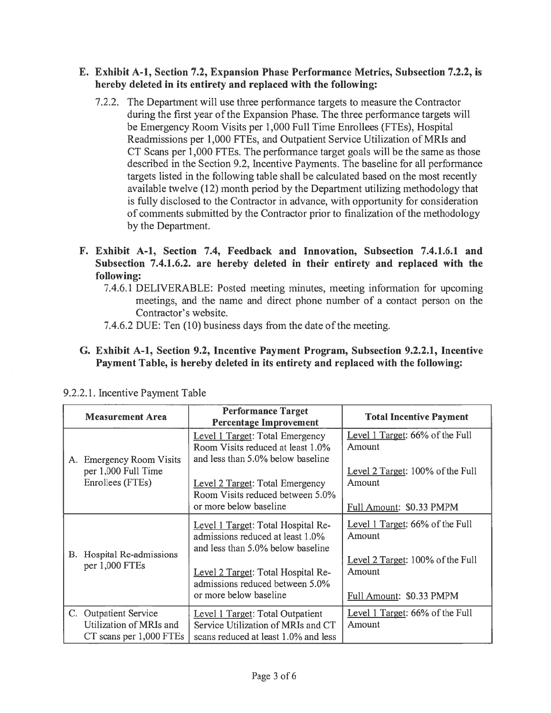### E. Exhibit A-i, Section 7.2, Expansion Phase Performance Metrics, Subsection 7.2.2, is hereby deleted in its entirety and replaced with the following:

- 7.2.2. The Department will use three perfoririance targets to measure the Contractor during the first year of the Expansion Phase. The three performance targets will be Emergency Room Visits per 1,000 Full Time Enrollees (FTEs), Hospital Readmissions per 1,000 FTEs, and Outpatient Service Utilization of MRIs and CT Scans per 1,000 FTEs. The perfonnance target goals will be the same as those described in the Section 9.2, Incentive Payments. The baseline for all performance targets listed in the following table shall be calculated based on the most recently available twelve (12) month period by the Department utilizing methodology that is fully disclosed to the Contractor in advance, with opportunity for consideration of comments submitted by the Contractor prior to finalization of the methodology by the Department.
- F. Exhibit A-i, Section 7.4, Feedback and Innovation, Subsection 7.4.1.6.1 and Subsection 7.4.1.6.2. are hereby deleted in their entirety and replaced with the following:
	- 7.4.6.1 DELIVERABLE: Posted meeting minutes, meeting information for upcoming meetings, and the name and direct phone number of <sup>a</sup> contact person on the Contractor's website.
	- 7.4.6.2 DUE: Ten (10) business days from the date of the meeting.
- G. Exhibit A-i, Section 9.2, Incentive Payment Program, Subsection 9.2.2.1, Incentive Payment Table, is hereby deleted in its entirety and replaced with the following:

| <b>Measurement Area</b>                                                       | <b>Performance Target</b><br><b>Percentage Improvement</b>                                                                                                                                                     | <b>Total Incentive Payment</b>                                                                                      |
|-------------------------------------------------------------------------------|----------------------------------------------------------------------------------------------------------------------------------------------------------------------------------------------------------------|---------------------------------------------------------------------------------------------------------------------|
| <b>Emergency Room Visits</b><br>A.<br>per 1,000 Full Time<br>Enrollees (FTEs) | Level 1 Target: Total Emergency<br>Room Visits reduced at least 1.0%<br>and less than 5.0% below baseline<br>Level 2 Target: Total Emergency                                                                   | Level 1 Target: 66% of the Full<br>Amount<br>Level 2 Target: 100% of the Full<br>Amount                             |
|                                                                               | Room Visits reduced between 5.0%<br>or more below baseline                                                                                                                                                     | Full Amount: \$0.33 PMPM                                                                                            |
| В.<br>Hospital Re-admissions<br>per 1,000 FTEs                                | Level 1 Target: Total Hospital Re-<br>admissions reduced at least 1.0%<br>and less than 5.0% below baseline<br>Level 2 Target: Total Hospital Re-<br>admissions reduced between 5.0%<br>or more below baseline | Level 1 Target: 66% of the Full<br>Amount<br>Level 2 Target: 100% of the Full<br>Amount<br>Full Amount: \$0.33 PMPM |
| C. Outpatient Service<br>Utilization of MRIs and<br>CT scans per 1,000 FTEs   | Level 1 Target: Total Outpatient<br>Service Utilization of MRIs and CT<br>scans reduced at least 1.0% and less                                                                                                 | Level 1 Target: 66% of the Full<br>Amount                                                                           |

### 9.2.2.1. Incentive Payment Table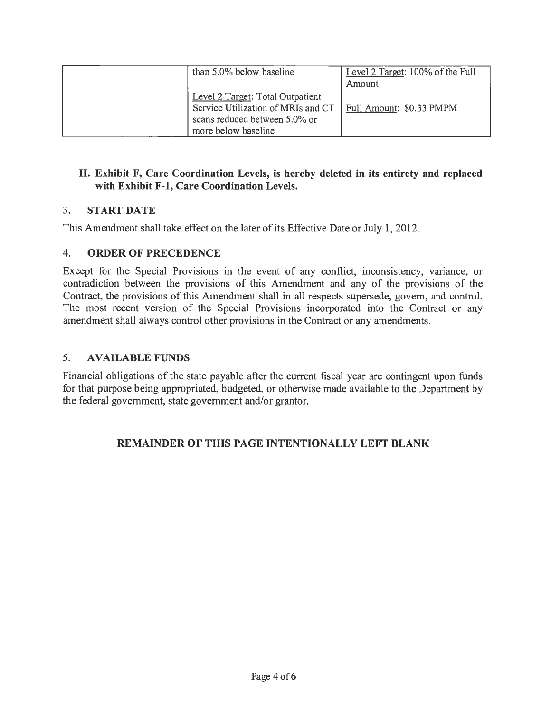| than 5.0% below baseline                                                                                                       | Level 2 Target: 100% of the Full<br>Amount |
|--------------------------------------------------------------------------------------------------------------------------------|--------------------------------------------|
| Level 2 Target: Total Outpatient<br>Service Utilization of MRIs and CT<br>scans reduced between 5.0% or<br>more below baseline | Full Amount: \$0.33 PMPM                   |

# H. Exhibit F, Care Coordination Levels, is hereby deleted in its entirety and replaced with Exhibit F-i, Care Coordination Levels.

# 3. START DATE

This Amendment shall take effect on the later of its Effective Date or July 1, 2012.

# 4. ORDER OF PRECEDENCE

Except for the Special Provisions in the event of any conflict, inconsistency, variance, or contradiction between the provisions of this Amendment and any of the provisions of the Contract, the provisions of this Amendment shall in all respects supersede, govern, and control. The most recent version of the Special Provisions incorporated into the Contract or any amendment shall always control other provisions in the Contract or any amendments.

# 5. AVAILABLE FUNDS

Financial obligations of the state payable after the current fiscal year are contingent upon funds for that purpose being appropriated, budgeted, or otherwise made available to the Department by the federal government, state governmen<sup>t</sup> and/or grantor.

# REMAINDER OF THIS PAGE INTENTIONALLY LEFT BLANK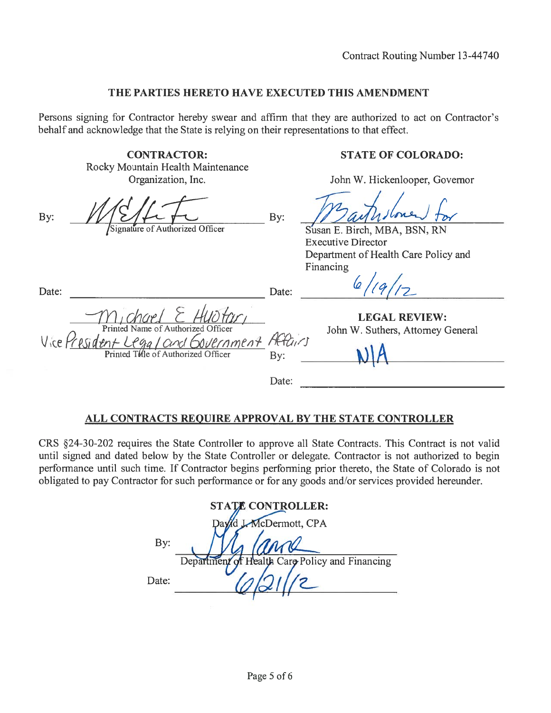### THE PARTIES HERETO HAVE EXECUTED THIS AMENDMENT

Persons signing for Contractor hereby swear and affirm that they are authorized to act on Contractor's behalf and acknowledge that the State is relying on their representations to that effect.

> CONTRACTOR: Rocky Mountain Health Maintenance Organization, Inc.

By:  $\mathbb{Z}/\mathbb{Z}/\mathbb{Z}$  By Signature of Authorized Officer

### STATE OF COLORADO:

John W. Hickenlooper, Governor

Susan E. Birch, MBA, BSN, RN Executive Director Department of Health Care Policy and Financing

 $11917$ 

LEGAL REVIEW: John W. Suthers, Attorney General

Date: Date: Date: Date: Date: Date: Date: Date: Date: Date: Date: Date: Date: Date: Date: Date: Date: Date: Date:  $\Box$ Printed Name of Authorized Officer Vice  $\frac{\gamma_{es}}{\gamma_{obs}}$  dent  $\frac{\gamma_{eq}}{\gamma_{obs}}$  / Cincl Covernment He

Date:

# ALL CONTRACTS REQUIRE APPROVAL BY THE STATE CONTROLLER

CRS §24-30-202 requires the State Controller to approve all State Contracts. This Contract is not valid until signed and dated below by the State Controller or delegate. Contractor is not authorized to begin performance until such time. If Contractor begins performing prior thereto, the State of Colorado is not obligated to pay Contractor for such performance or for any goods and/or services provided hereunder.

|       | <b>STATE CONTROLLER:</b>                       |
|-------|------------------------------------------------|
|       | d J.McDermott, CPA                             |
| By:   |                                                |
|       | Department of Health Care Policy and Financing |
| Date: |                                                |
|       |                                                |